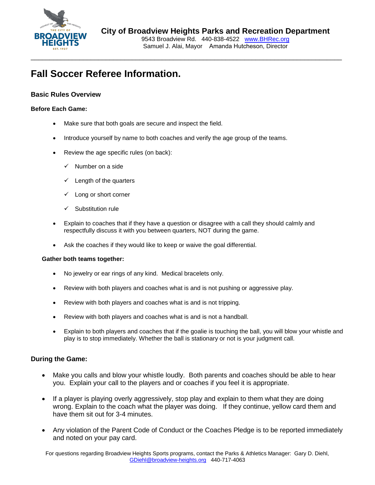

9543 Broadview Rd. 440-838-4522 www.BHRec.org Samuel J. Alai, Mayor Amanda Hutcheson, Director

# **Fall Soccer Referee Information.**

### **Basic Rules Overview**

#### **Before Each Game:**

- Make sure that both goals are secure and inspect the field.
- Introduce yourself by name to both coaches and verify the age group of the teams.
- Review the age specific rules (on back):
	- $\checkmark$  Number on a side
	- $\checkmark$  Length of the quarters
	- $\checkmark$  Long or short corner
	- $\checkmark$  Substitution rule
- Explain to coaches that if they have a question or disagree with a call they should calmly and respectfully discuss it with you between quarters, NOT during the game.
- Ask the coaches if they would like to keep or waive the goal differential.

#### **Gather both teams together:**

- No jewelry or ear rings of any kind. Medical bracelets only.
- Review with both players and coaches what is and is not pushing or aggressive play.
- Review with both players and coaches what is and is not tripping.
- Review with both players and coaches what is and is not a handball.
- Explain to both players and coaches that if the goalie is touching the ball, you will blow your whistle and play is to stop immediately. Whether the ball is stationary or not is your judgment call.

### **During the Game:**

- Make you calls and blow your whistle loudly. Both parents and coaches should be able to hear you. Explain your call to the players and or coaches if you feel it is appropriate.
- If a player is playing overly aggressively, stop play and explain to them what they are doing wrong. Explain to the coach what the player was doing. If they continue, yellow card them and have them sit out for 3-4 minutes.
- Any violation of the Parent Code of Conduct or the Coaches Pledge is to be reported immediately and noted on your pay card.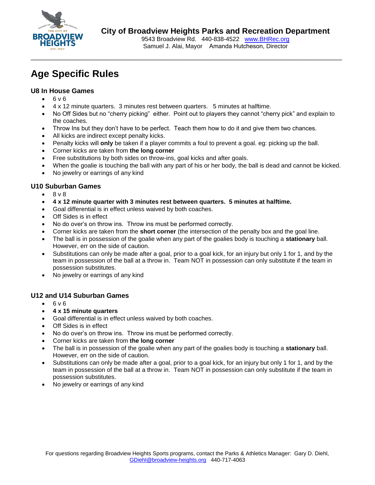

## **City of Broadview Heights Parks and Recreation Department**

9543 Broadview Rd. 440-838-4522 www.BHRec.org Samuel J. Alai, Mayor Amanda Hutcheson, Director

# **Age Specific Rules**

### **U8 In House Games**

- $-6v6$
- 4 x 12 minute quarters. 3 minutes rest between quarters. 5 minutes at halftime.
- No Off Sides but no "cherry picking" either. Point out to players they cannot "cherry pick" and explain to the coaches.
- Throw Ins but they don't have to be perfect. Teach them how to do it and give them two chances.
- All kicks are indirect except penalty kicks.
- Penalty kicks will **only** be taken if a player commits a foul to prevent a goal. eg: picking up the ball.
- Corner kicks are taken from **the long corner**
- Free substitutions by both sides on throw-ins, goal kicks and after goals.
- When the goalie is touching the ball with any part of his or her body, the ball is dead and cannot be kicked.
- No jewelry or earrings of any kind

## **U10 Suburban Games**

- 8 v 8
- **4 x 12 minute quarter with 3 minutes rest between quarters. 5 minutes at halftime.**
- Goal differential is in effect unless waived by both coaches.
- Off Sides is in effect
- No do over's on throw ins. Throw ins must be performed correctly.
- Corner kicks are taken from the **short corner** (the intersection of the penalty box and the goal line.
- The ball is in possession of the goalie when any part of the goalies body is touching a **stationary** ball. However, err on the side of caution.
- Substitutions can only be made after a goal, prior to a goal kick, for an injury but only 1 for 1, and by the team in possession of the ball at a throw in. Team NOT in possession can only substitute if the team in possession substitutes.
- No jewelry or earrings of any kind

## **U12 and U14 Suburban Games**

- $-6v6$
- **4 x 15 minute quarters**
- Goal differential is in effect unless waived by both coaches.
- Off Sides is in effect
- No do over's on throw ins. Throw ins must be performed correctly.
- Corner kicks are taken from **the long corner**
- The ball is in possession of the goalie when any part of the goalies body is touching a **stationary** ball. However, err on the side of caution.
- Substitutions can only be made after a goal, prior to a goal kick, for an injury but only 1 for 1, and by the team in possession of the ball at a throw in. Team NOT in possession can only substitute if the team in possession substitutes.
- No jewelry or earrings of any kind